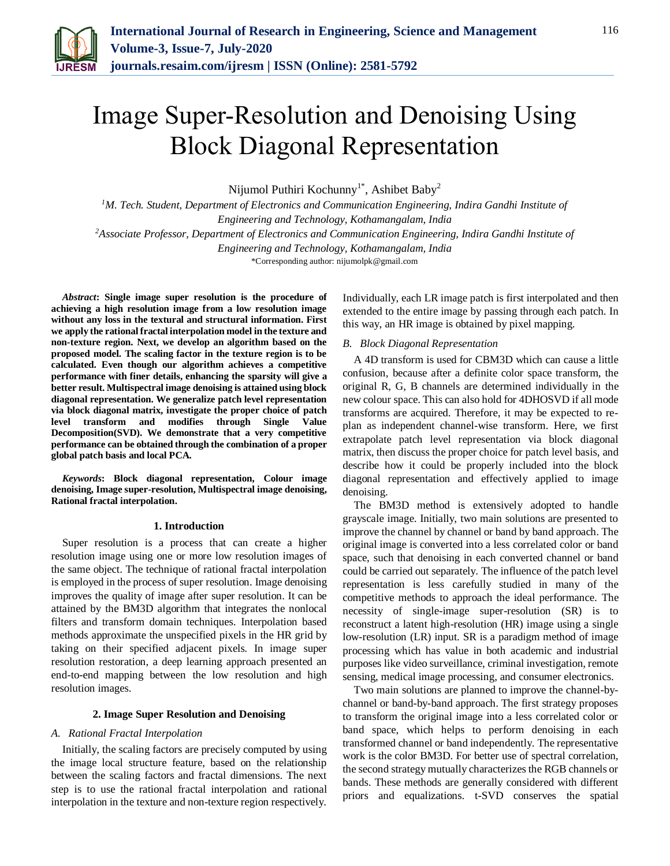

# Image Super-Resolution and Denoising Using Block Diagonal Representation

Nijumol Puthiri Kochunny<sup>1\*</sup>, Ashibet Baby<sup>2</sup>

*<sup>1</sup>M. Tech. Student, Department of Electronics and Communication Engineering, Indira Gandhi Institute of Engineering and Technology, Kothamangalam, India <sup>2</sup>Associate Professor, Department of Electronics and Communication Engineering, Indira Gandhi Institute of Engineering and Technology, Kothamangalam, India*

\*Corresponding author: nijumolpk@gmail.com

*Abstract***: Single image super resolution is the procedure of achieving a high resolution image from a low resolution image without any loss in the textural and structural information. First we apply the rational fractal interpolation model in the texture and non-texture region. Next, we develop an algorithm based on the proposed model. The scaling factor in the texture region is to be calculated. Even though our algorithm achieves a competitive performance with finer details, enhancing the sparsity will give a better result. Multispectral image denoising is attained using block diagonal representation. We generalize patch level representation via block diagonal matrix, investigate the proper choice of patch level transform and modifies through Single Value Decomposition(SVD). We demonstrate that a very competitive performance can be obtained through the combination of a proper global patch basis and local PCA.** 

*Keywords***: Block diagonal representation, Colour image denoising, Image super-resolution, Multispectral image denoising, Rational fractal interpolation.**

#### **1. Introduction**

Super resolution is a process that can create a higher resolution image using one or more low resolution images of the same object. The technique of rational fractal interpolation is employed in the process of super resolution. Image denoising improves the quality of image after super resolution. It can be attained by the BM3D algorithm that integrates the nonlocal filters and transform domain techniques. Interpolation based methods approximate the unspecified pixels in the HR grid by taking on their specified adjacent pixels. In image super resolution restoration, a deep learning approach presented an end-to-end mapping between the low resolution and high resolution images.

### **2. Image Super Resolution and Denoising**

# *A. Rational Fractal Interpolation*

Initially, the scaling factors are precisely computed by using the image local structure feature, based on the relationship between the scaling factors and fractal dimensions. The next step is to use the rational fractal interpolation and rational interpolation in the texture and non-texture region respectively.

Individually, each LR image patch is first interpolated and then extended to the entire image by passing through each patch. In this way, an HR image is obtained by pixel mapping.

# *B. Block Diagonal Representation*

A 4D transform is used for CBM3D which can cause a little confusion, because after a definite color space transform, the original R, G, B channels are determined individually in the new colour space. This can also hold for 4DHOSVD if all mode transforms are acquired. Therefore, it may be expected to replan as independent channel-wise transform. Here, we first extrapolate patch level representation via block diagonal matrix, then discuss the proper choice for patch level basis, and describe how it could be properly included into the block diagonal representation and effectively applied to image denoising.

The BM3D method is extensively adopted to handle grayscale image. Initially, two main solutions are presented to improve the channel by channel or band by band approach. The original image is converted into a less correlated color or band space, such that denoising in each converted channel or band could be carried out separately. The influence of the patch level representation is less carefully studied in many of the competitive methods to approach the ideal performance. The necessity of single-image super-resolution (SR) is to reconstruct a latent high-resolution (HR) image using a single low-resolution (LR) input. SR is a paradigm method of image processing which has value in both academic and industrial purposes like video surveillance, criminal investigation, remote sensing, medical image processing, and consumer electronics.

Two main solutions are planned to improve the channel-bychannel or band-by-band approach. The first strategy proposes to transform the original image into a less correlated color or band space, which helps to perform denoising in each transformed channel or band independently. The representative work is the color BM3D. For better use of spectral correlation, the second strategy mutually characterizes the RGB channels or bands. These methods are generally considered with different priors and equalizations. t-SVD conserves the spatial